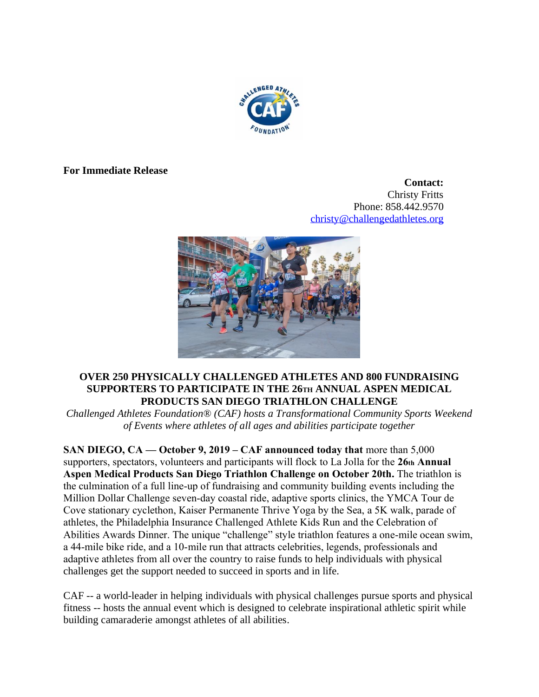

## **For Immediate Release**

**Contact:** Christy Fritts Phone: 858.442.9570 [christy@challengedathletes.org](mailto:christy@challengedathletes.org)



## **OVER 250 PHYSICALLY CHALLENGED ATHLETES AND 800 FUNDRAISING SUPPORTERS TO PARTICIPATE IN THE 26TH ANNUAL ASPEN MEDICAL PRODUCTS SAN DIEGO TRIATHLON CHALLENGE**

*Challenged Athletes Foundation® (CAF) hosts a Transformational Community Sports Weekend of Events where athletes of all ages and abilities participate together*

**SAN DIEGO, CA — October 9, 2019 – CAF announced today that** more than 5,000 supporters, spectators, volunteers and participants will flock to La Jolla for the **26th Annual Aspen Medical Products San Diego Triathlon Challenge on October 20th.** The triathlon is the culmination of a full line-up of fundraising and community building events including the Million Dollar Challenge seven-day coastal ride, adaptive sports clinics, the YMCA Tour de Cove stationary cyclethon, Kaiser Permanente Thrive Yoga by the Sea, a 5K walk, parade of athletes, the Philadelphia Insurance Challenged Athlete Kids Run and the Celebration of Abilities Awards Dinner. The unique "challenge" style triathlon features a one-mile ocean swim, a 44-mile bike ride, and a 10-mile run that attracts celebrities, legends, professionals and adaptive athletes from all over the country to raise funds to help individuals with physical challenges get the support needed to succeed in sports and in life.

CAF -- a world-leader in helping individuals with physical challenges pursue sports and physical fitness -- hosts the annual event which is designed to celebrate inspirational athletic spirit while building camaraderie amongst athletes of all abilities.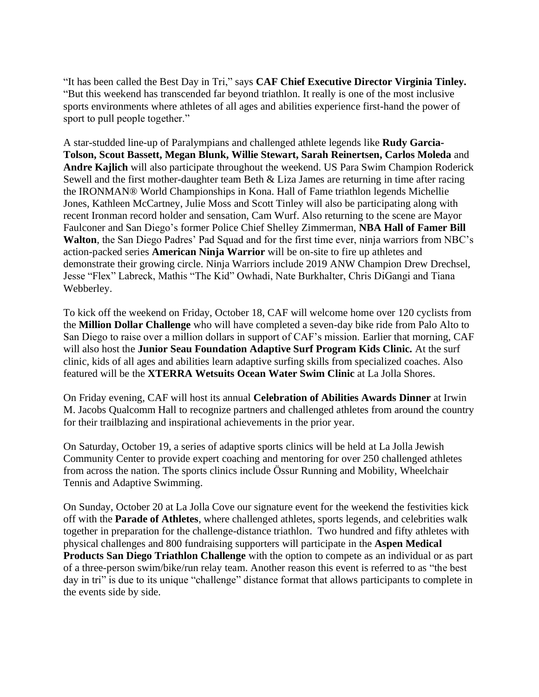"It has been called the Best Day in Tri," says **CAF Chief Executive Director Virginia Tinley.** "But this weekend has transcended far beyond triathlon. It really is one of the most inclusive sports environments where athletes of all ages and abilities experience first-hand the power of sport to pull people together."

A star-studded line-up of Paralympians and challenged athlete legends like **Rudy Garcia-Tolson, Scout Bassett, Megan Blunk, Willie Stewart, Sarah Reinertsen, Carlos Moleda** and **Andre Kajlich** will also participate throughout the weekend. US Para Swim Champion Roderick Sewell and the first mother-daughter team Beth & Liza James are returning in time after racing the IRONMAN® World Championships in Kona. Hall of Fame triathlon legends Michellie Jones, Kathleen McCartney, Julie Moss and Scott Tinley will also be participating along with recent Ironman record holder and sensation, Cam Wurf. Also returning to the scene are Mayor Faulconer and San Diego's former Police Chief Shelley Zimmerman, **NBA Hall of Famer Bill Walton**, the San Diego Padres' Pad Squad and for the first time ever, ninja warriors from NBC's action-packed series **American Ninja Warrior** will be on-site to fire up athletes and demonstrate their growing circle. Ninja Warriors include 2019 ANW Champion Drew Drechsel, Jesse "Flex" Labreck, Mathis "The Kid" Owhadi, Nate Burkhalter, Chris DiGangi and Tiana Webberley.

To kick off the weekend on Friday, October 18, CAF will welcome home over 120 cyclists from the **Million Dollar Challenge** who will have completed a seven-day bike ride from Palo Alto to San Diego to raise over a million dollars in support of CAF's mission. Earlier that morning, CAF will also host the **Junior Seau Foundation Adaptive Surf Program Kids Clinic.** At the surf clinic, kids of all ages and abilities learn adaptive surfing skills from specialized coaches. Also featured will be the **XTERRA Wetsuits Ocean Water Swim Clinic** at La Jolla Shores.

On Friday evening, CAF will host its annual **Celebration of Abilities Awards Dinner** at Irwin M. Jacobs Qualcomm Hall to recognize partners and challenged athletes from around the country for their trailblazing and inspirational achievements in the prior year.

On Saturday, October 19, a series of adaptive sports clinics will be held at La Jolla Jewish Community Center to provide expert coaching and mentoring for over 250 challenged athletes from across the nation. The sports clinics include Össur Running and Mobility, Wheelchair Tennis and Adaptive Swimming.

On Sunday, October 20 at La Jolla Cove our signature event for the weekend the festivities kick off with the **Parade of Athletes**, where challenged athletes, sports legends, and celebrities walk together in preparation for the challenge-distance triathlon. Two hundred and fifty athletes with physical challenges and 800 fundraising supporters will participate in the **Aspen Medical Products San Diego Triathlon Challenge** with the option to compete as an individual or as part of a three-person swim/bike/run relay team. Another reason this event is referred to as "the best day in tri" is due to its unique "challenge" distance format that allows participants to complete in the events side by side.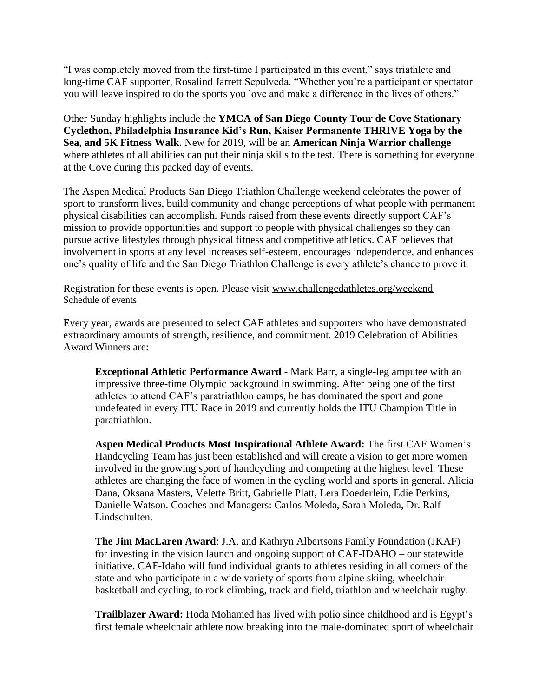"I was completely moved from the first-time I participated in this event," says triathlete and long-time CAF supporter, Rosalind Jarrett Sepulveda. "Whether you're a participant or spectator you will leave inspired to do the sports you love and make a difference in the lives of others."

Other Sunday highlights include the **YMCA of San Diego County Tour de Cove Stationary Cyclethon, Philadelphia Insurance Kid's Run, Kaiser Permanente THRIVE Yoga by the Sea, and 5K Fitness Walk.** New for 2019, will be an **American Ninja Warrior challenge**  where athletes of all abilities can put their ninja skills to the test. There is something for everyone at the Cove during this packed day of events.

The Aspen Medical Products San Diego Triathlon Challenge weekend celebrates the power of sport to transform lives, build community and change perceptions of what people with permanent physical disabilities can accomplish. Funds raised from these events directly support CAF's mission to provide opportunities and support to people with physical challenges so they can pursue active lifestyles through physical fitness and competitive athletics. CAF believes that involvement in sports at any level increases self-esteem, encourages independence, and enhances one's quality of life and the San Diego Triathlon Challenge is every athlete's chance to prove it.

Registration for these events is open. Please visit [www.challengedathletes.org/weekend](http://www.challengedathletes.org/weekend) [Schedule](http://www.challengedathletes.org/wp-content/uploads/2019/09/2019-Full-Weekend-Schedule-of-Events.pdf) of events

Every year, awards are presented to select CAF athletes and supporters who have demonstrated extraordinary amounts of strength, resilience, and commitment. 2019 Celebration of Abilities Award Winners are:

**Exceptional Athletic Performance Award** - Mark Barr, a single-leg amputee with an impressive three-time Olympic background in swimming. After being one of the first athletes to attend CAF's paratriathlon camps, he has dominated the sport and gone undefeated in every ITU Race in 2019 and currently holds the ITU Champion Title in paratriathlon.

**Aspen Medical Products Most Inspirational Athlete Award:** The first CAF Women's Handcycling Team has just been established and will create a vision to get more women involved in the growing sport of handcycling and competing at the highest level. These athletes are changing the face of women in the cycling world and sports in general. Alicia Dana, Oksana Masters, Velette Britt, Gabrielle Platt, Lera Doederlein, Edie Perkins, Danielle Watson. Coaches and Managers: Carlos Moleda, Sarah Moleda, Dr. Ralf Lindschulten.

**The Jim MacLaren Award**: J.A. and Kathryn Albertsons Family Foundation (JKAF) for investing in the vision launch and ongoing support of CAF-IDAHO – our statewide initiative. CAF-Idaho will fund individual grants to athletes residing in all corners of the state and who participate in a wide variety of sports from alpine skiing, wheelchair basketball and cycling, to rock climbing, track and field, triathlon and wheelchair rugby.

**Trailblazer Award:** Hoda Mohamed has lived with polio since childhood and is Egypt's first female wheelchair athlete now breaking into the male-dominated sport of wheelchair